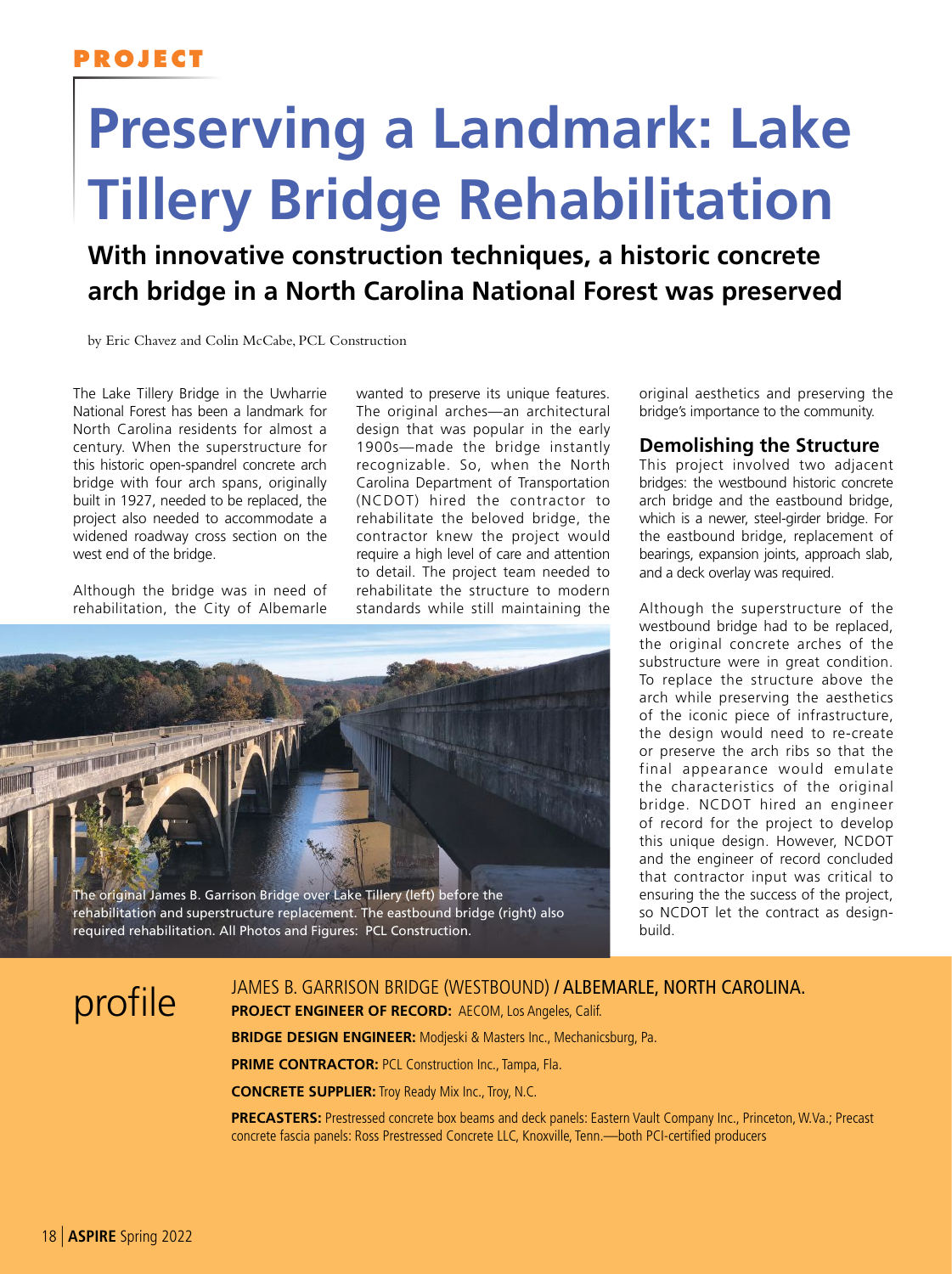## **PROJECT**

# **Preserving a Landmark: Lake Tillery Bridge Rehabilitation**

**With innovative construction techniques, a historic concrete arch bridge in a North Carolina National Forest was preserved**

by Eric Chavez and Colin McCabe, PCL Construction

The Lake Tillery Bridge in the Uwharrie National Forest has been a landmark for North Carolina residents for almost a century. When the superstructure for this historic open-spandrel concrete arch bridge with four arch spans, originally built in 1927, needed to be replaced, the project also needed to accommodate a widened roadway cross section on the west end of the bridge.

Although the bridge was in need of rehabilitation, the City of Albemarle

wanted to preserve its unique features. The original arches—an architectural design that was popular in the early 1900s—made the bridge instantly recognizable. So, when the North Carolina Department of Transportation (NCDOT) hired the contractor to rehabilitate the beloved bridge, the contractor knew the project would require a high level of care and attention to detail. The project team needed to rehabilitate the structure to modern standards while still maintaining the



original aesthetics and preserving the bridge's importance to the community.

#### **Demolishing the Structure**

This project involved two adjacent bridges: the westbound historic concrete arch bridge and the eastbound bridge, which is a newer, steel-girder bridge. For the eastbound bridge, replacement of bearings, expansion joints, approach slab, and a deck overlay was required.

Although the superstructure of the westbound bridge had to be replaced, the original concrete arches of the substructure were in great condition. To replace the structure above the arch while preserving the aesthetics of the iconic piece of infrastructure, the design would need to re-create or preserve the arch ribs so that the final appearance would emulate the characteristics of the original bridge. NCDOT hired an engineer of record for the project to develop this unique design. However, NCDOT and the engineer of record concluded that contractor input was critical to ensuring the the success of the project, so NCDOT let the contract as designbuild.

DISCRETE JAMES B. GARRISON BRIDGE (WESTBOUND) / ALBEMARLE, NORTH CAROLINA.<br>
DISCRETE ENGINEER OF RECORD: AECOM, Los Angeles, Calif. **PROJECT ENGINEER OF RECORD:** AECOM, Los Angeles, Calif.

**BRIDGE DESIGN ENGINEER:** Modjeski & Masters Inc., Mechanicsburg, Pa.

**PRIME CONTRACTOR: PCL Construction Inc., Tampa, Fla.** 

**CONCRETE SUPPLIER:** Troy Ready Mix Inc., Troy, N.C.

**PRECASTERS:** Prestressed concrete box beams and deck panels: Eastern Vault Company Inc., Princeton, W.Va.; Precast concrete fascia panels: Ross Prestressed Concrete LLC, Knoxville, Tenn.—both PCI-certified producers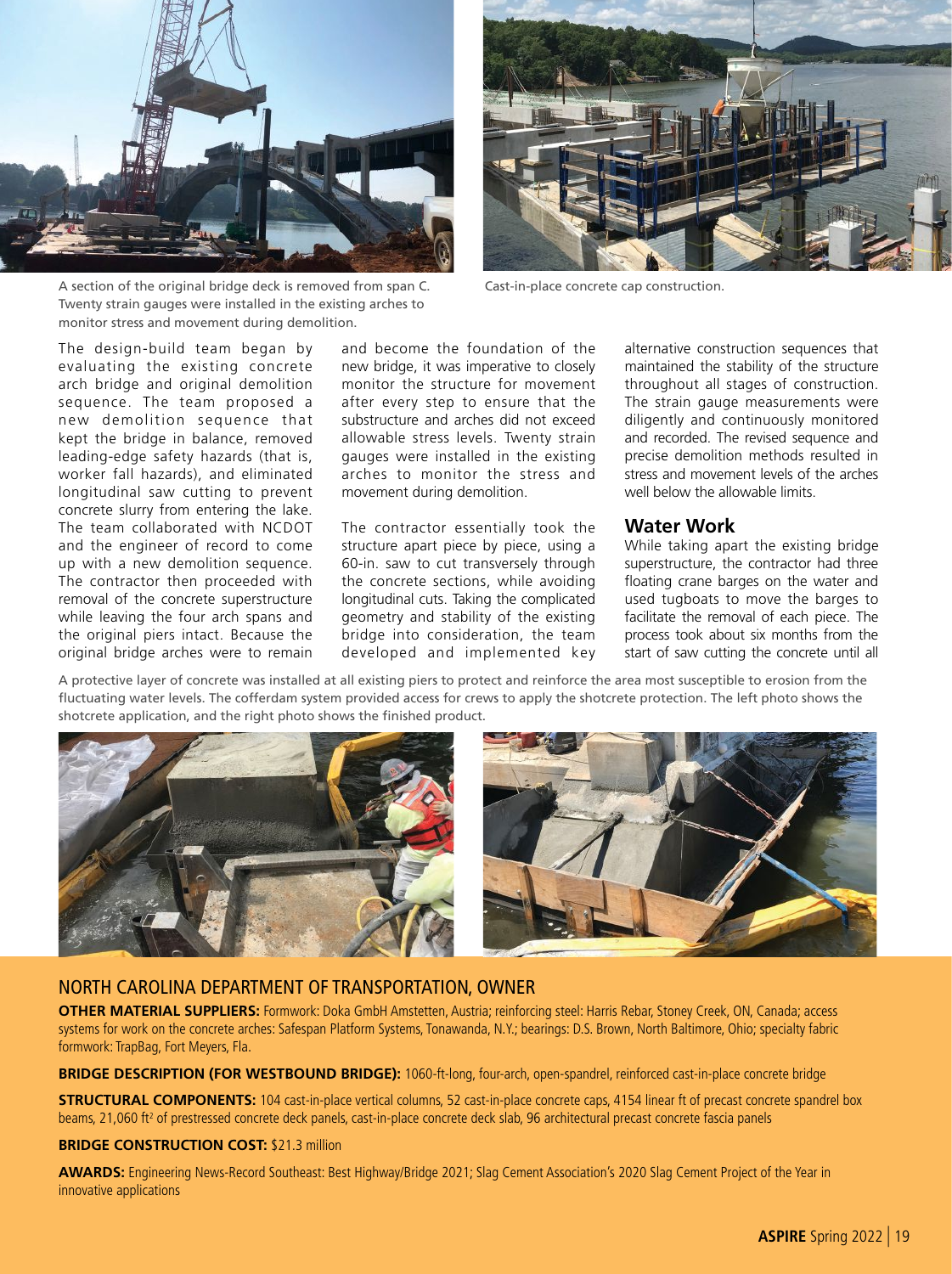

A section of the original bridge deck is removed from span C. Twenty strain gauges were installed in the existing arches to monitor stress and movement during demolition.



Cast-in-place concrete cap construction.

The design-build team began by evaluating the existing concrete arch bridge and original demolition sequence. The team proposed a new demolition sequence that kept the bridge in balance, removed leading-edge safety hazards (that is, worker fall hazards), and eliminated longitudinal saw cutting to prevent concrete slurry from entering the lake. The team collaborated with NCDOT and the engineer of record to come up with a new demolition sequence. The contractor then proceeded with removal of the concrete superstructure while leaving the four arch spans and the original piers intact. Because the original bridge arches were to remain and become the foundation of the new bridge, it was imperative to closely monitor the structure for movement after every step to ensure that the substructure and arches did not exceed allowable stress levels. Twenty strain gauges were installed in the existing arches to monitor the stress and movement during demolition.

The contractor essentially took the structure apart piece by piece, using a 60-in. saw to cut transversely through the concrete sections, while avoiding longitudinal cuts. Taking the complicated geometry and stability of the existing bridge into consideration, the team developed and implemented key alternative construction sequences that maintained the stability of the structure throughout all stages of construction. The strain gauge measurements were diligently and continuously monitored and recorded. The revised sequence and precise demolition methods resulted in stress and movement levels of the arches well below the allowable limits.

#### **Water Work**

While taking apart the existing bridge superstructure, the contractor had three floating crane barges on the water and used tugboats to move the barges to facilitate the removal of each piece. The process took about six months from the start of saw cutting the concrete until all

A protective layer of concrete was installed at all existing piers to protect and reinforce the area most susceptible to erosion from the fluctuating water levels. The cofferdam system provided access for crews to apply the shotcrete protection. The left photo shows the shotcrete application, and the right photo shows the finished product.



#### NORTH CAROLINA DEPARTMENT OF TRANSPORTATION, OWNER

**OTHER MATERIAL SUPPLIERS:** Formwork: Doka GmbH Amstetten, Austria; reinforcing steel: Harris Rebar, Stoney Creek, ON, Canada; access systems for work on the concrete arches: Safespan Platform Systems, Tonawanda, N.Y.; bearings: D.S. Brown, North Baltimore, Ohio; specialty fabric formwork: TrapBag, Fort Meyers, Fla.

**BRIDGE DESCRIPTION (FOR WESTBOUND BRIDGE):** 1060-ft-long, four-arch, open-spandrel, reinforced cast-in-place concrete bridge

**STRUCTURAL COMPONENTS:** 104 cast-in-place vertical columns, 52 cast-in-place concrete caps, 4154 linear ft of precast concrete spandrel box beams, 21,060 ft<sup>2</sup> of prestressed concrete deck panels, cast-in-place concrete deck slab, 96 architectural precast concrete fascia panels

#### **BRIDGE CONSTRUCTION COST:** \$21.3 million

**AWARDS:** Engineering News-Record Southeast: Best Highway/Bridge 2021; Slag Cement Association's 2020 Slag Cement Project of the Year in innovative applications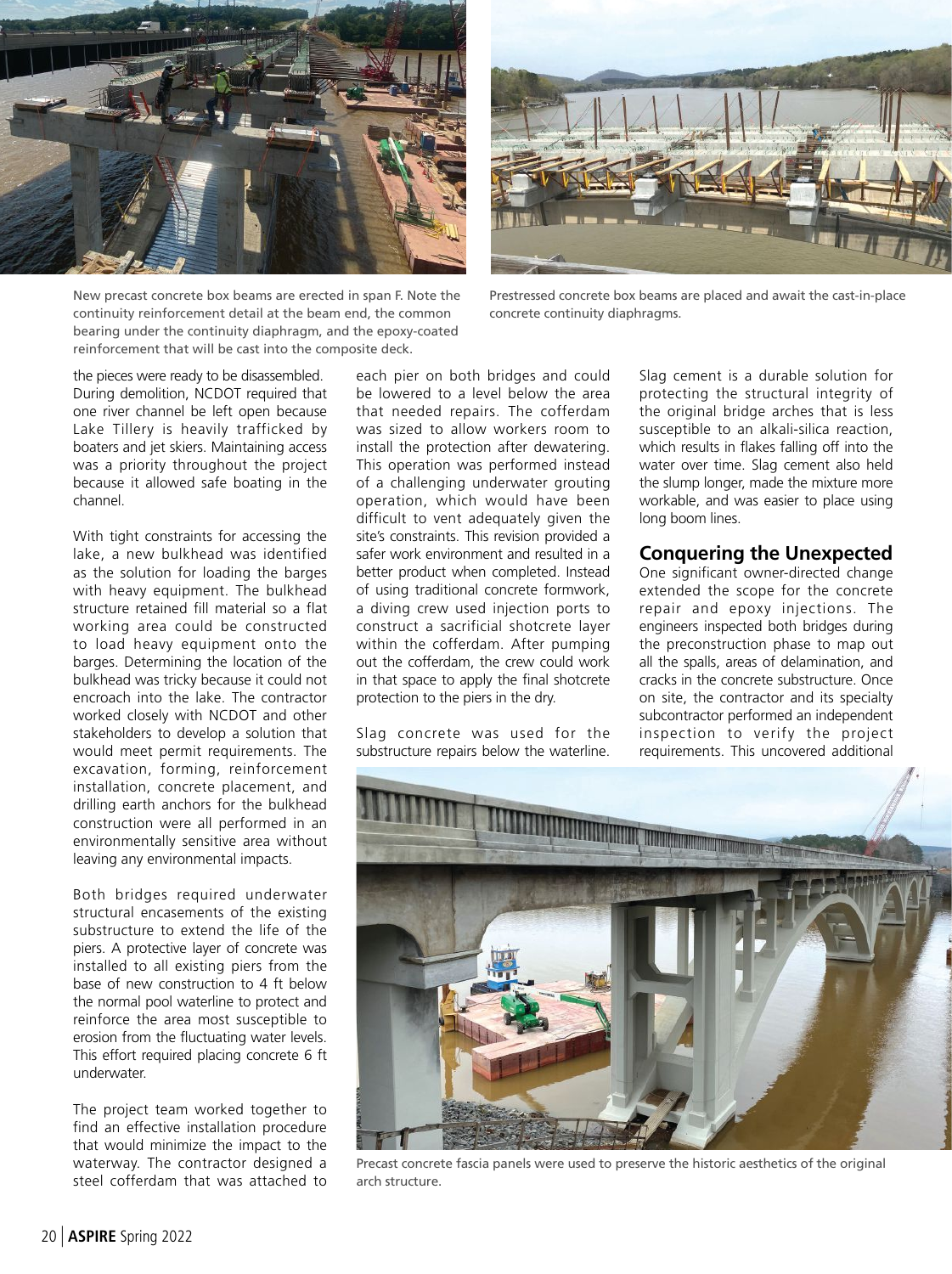



New precast concrete box beams are erected in span F. Note the continuity reinforcement detail at the beam end, the common bearing under the continuity diaphragm, and the epoxy-coated reinforcement that will be cast into the composite deck.

Prestressed concrete box beams are placed and await the cast-in-place concrete continuity diaphragms.

the pieces were ready to be disassembled. During demolition, NCDOT required that one river channel be left open because Lake Tillery is heavily trafficked by boaters and jet skiers. Maintaining access was a priority throughout the project because it allowed safe boating in the channel.

With tight constraints for accessing the lake, a new bulkhead was identified as the solution for loading the barges with heavy equipment. The bulkhead structure retained fill material so a flat working area could be constructed to load heavy equipment onto the barges. Determining the location of the bulkhead was tricky because it could not encroach into the lake. The contractor worked closely with NCDOT and other stakeholders to develop a solution that would meet permit requirements. The excavation, forming, reinforcement installation, concrete placement, and drilling earth anchors for the bulkhead construction were all performed in an environmentally sensitive area without leaving any environmental impacts.

Both bridges required underwater structural encasements of the existing substructure to extend the life of the piers. A protective layer of concrete was installed to all existing piers from the base of new construction to 4 ft below the normal pool waterline to protect and reinforce the area most susceptible to erosion from the fluctuating water levels. This effort required placing concrete 6 ft underwater.

The project team worked together to find an effective installation procedure that would minimize the impact to the waterway. The contractor designed a steel cofferdam that was attached to

each pier on both bridges and could be lowered to a level below the area that needed repairs. The cofferdam was sized to allow workers room to install the protection after dewatering. This operation was performed instead of a challenging underwater grouting operation, which would have been difficult to vent adequately given the site's constraints. This revision provided a safer work environment and resulted in a better product when completed. Instead of using traditional concrete formwork, a diving crew used injection ports to construct a sacrificial shotcrete layer within the cofferdam. After pumping out the cofferdam, the crew could work in that space to apply the final shotcrete protection to the piers in the dry.

Slag concrete was used for the substructure repairs below the waterline.

Slag cement is a durable solution for protecting the structural integrity of the original bridge arches that is less susceptible to an alkali-silica reaction, which results in flakes falling off into the water over time. Slag cement also held the slump longer, made the mixture more workable, and was easier to place using long boom lines.

### **Conquering the Unexpected**

One significant owner-directed change extended the scope for the concrete repair and epoxy injections. The engineers inspected both bridges during the preconstruction phase to map out all the spalls, areas of delamination, and cracks in the concrete substructure. Once on site, the contractor and its specialty subcontractor performed an independent inspection to verify the project requirements. This uncovered additional



Precast concrete fascia panels were used to preserve the historic aesthetics of the original arch structure.